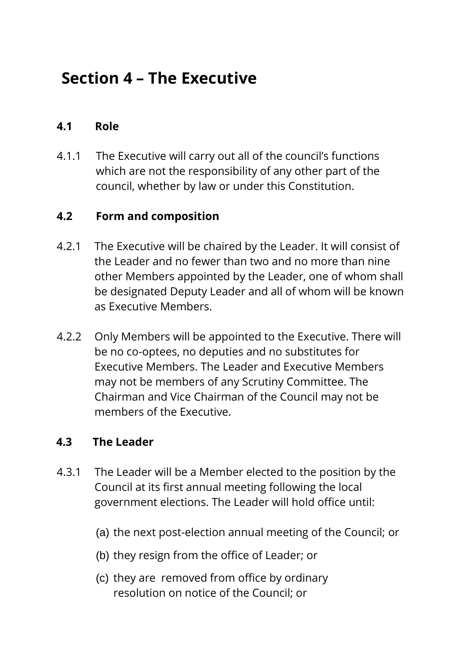# **Section 4 – The Executive**

## **4.1 Role**

4.1.1 The Executive will carry out all of the council's functions which are not the responsibility of any other part of the council, whether by law or under this Constitution.

### **4.2 Form and composition**

- 4.2.1 The Executive will be chaired by the Leader. It will consist of the Leader and no fewer than two and no more than nine other Members appointed by the Leader, one of whom shall be designated Deputy Leader and all of whom will be known as Executive Members.
- 4.2.2 Only Members will be appointed to the Executive. There will be no co-optees, no deputies and no substitutes for Executive Members. The Leader and Executive Members may not be members of any Scrutiny Committee. The Chairman and Vice Chairman of the Council may not be members of the Executive.

### **4.3 The Leader**

- 4.3.1 The Leader will be a Member elected to the position by the Council at its first annual meeting following the local government elections. The Leader will hold office until:
	- (a) the next post-election annual meeting of the Council; or
	- (b) they resign from the office of Leader; or
	- (c) they are removed from office by ordinary resolution on notice of the Council; or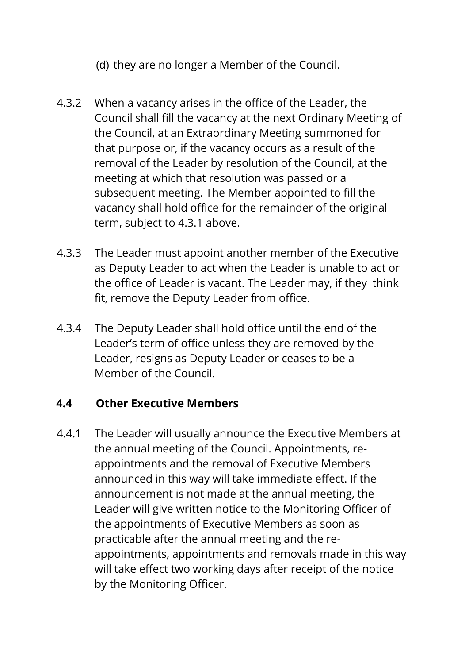- (d) they are no longer a Member of the Council.
- 4.3.2 When a vacancy arises in the office of the Leader, the Council shall fill the vacancy at the next Ordinary Meeting of the Council, at an Extraordinary Meeting summoned for that purpose or, if the vacancy occurs as a result of the removal of the Leader by resolution of the Council, at the meeting at which that resolution was passed or a subsequent meeting. The Member appointed to fill the vacancy shall hold office for the remainder of the original term, subject to 4.3.1 above.
- 4.3.3 The Leader must appoint another member of the Executive as Deputy Leader to act when the Leader is unable to act or the office of Leader is vacant. The Leader may, if they think fit, remove the Deputy Leader from office.
- 4.3.4 The Deputy Leader shall hold office until the end of the Leader's term of office unless they are removed by the Leader, resigns as Deputy Leader or ceases to be a Member of the Council.

#### **4.4 Other Executive Members**

4.4.1 The Leader will usually announce the Executive Members at the annual meeting of the Council. Appointments, reappointments and the removal of Executive Members announced in this way will take immediate effect. If the announcement is not made at the annual meeting, the Leader will give written notice to the Monitoring Officer of the appointments of Executive Members as soon as practicable after the annual meeting and the reappointments, appointments and removals made in this way will take effect two working days after receipt of the notice by the Monitoring Officer.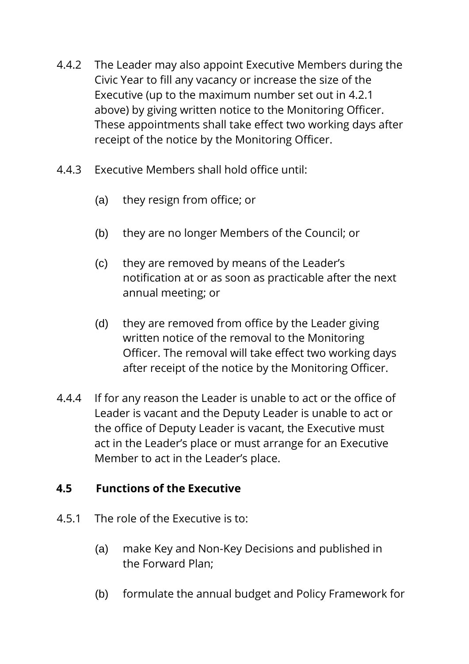- 4.4.2 The Leader may also appoint Executive Members during the Civic Year to fill any vacancy or increase the size of the Executive (up to the maximum number set out in 4.2.1 above) by giving written notice to the Monitoring Officer. These appointments shall take effect two working days after receipt of the notice by the Monitoring Officer.
- 4.4.3 Executive Members shall hold office until:
	- (a) they resign from office; or
	- (b) they are no longer Members of the Council; or
	- (c) they are removed by means of the Leader's notification at or as soon as practicable after the next annual meeting; or
	- (d) they are removed from office by the Leader giving written notice of the removal to the Monitoring Officer. The removal will take effect two working days after receipt of the notice by the Monitoring Officer.
- 4.4.4 If for any reason the Leader is unable to act or the office of Leader is vacant and the Deputy Leader is unable to act or the office of Deputy Leader is vacant, the Executive must act in the Leader's place or must arrange for an Executive Member to act in the Leader's place.

### **4.5 Functions of the Executive**

- 4.5.1 The role of the Executive is to:
	- (a) make Key and Non-Key Decisions and published in the Forward Plan;
	- (b) formulate the annual budget and Policy Framework for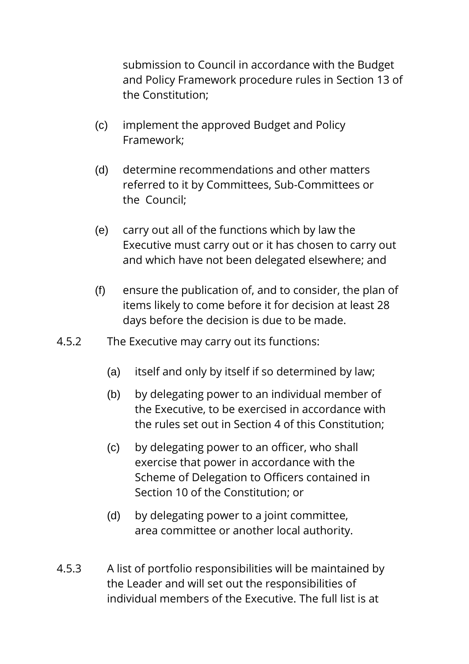submission to Council in accordance with the Budget and Policy Framework procedure rules in Section 13 of the Constitution;

- (c) implement the approved Budget and Policy Framework;
- (d) determine recommendations and other matters referred to it by Committees, Sub-Committees or the Council;
- (e) carry out all of the functions which by law the Executive must carry out or it has chosen to carry out and which have not been delegated elsewhere; and
- (f) ensure the publication of, and to consider, the plan of items likely to come before it for decision at least 28 days before the decision is due to be made.
- 4.5.2 The Executive may carry out its functions:
	- (a) itself and only by itself if so determined by law;
	- (b) by delegating power to an individual member of the Executive, to be exercised in accordance with the rules set out in Section 4 of this Constitution;
	- (c) by delegating power to an officer, who shall exercise that power in accordance with the Scheme of Delegation to Officers contained in Section 10 of the Constitution; or
	- (d) by delegating power to a joint committee, area committee or another local authority.
- 4.5.3 A list of portfolio responsibilities will be maintained by the Leader and will set out the responsibilities of individual members of the Executive. The full list is at